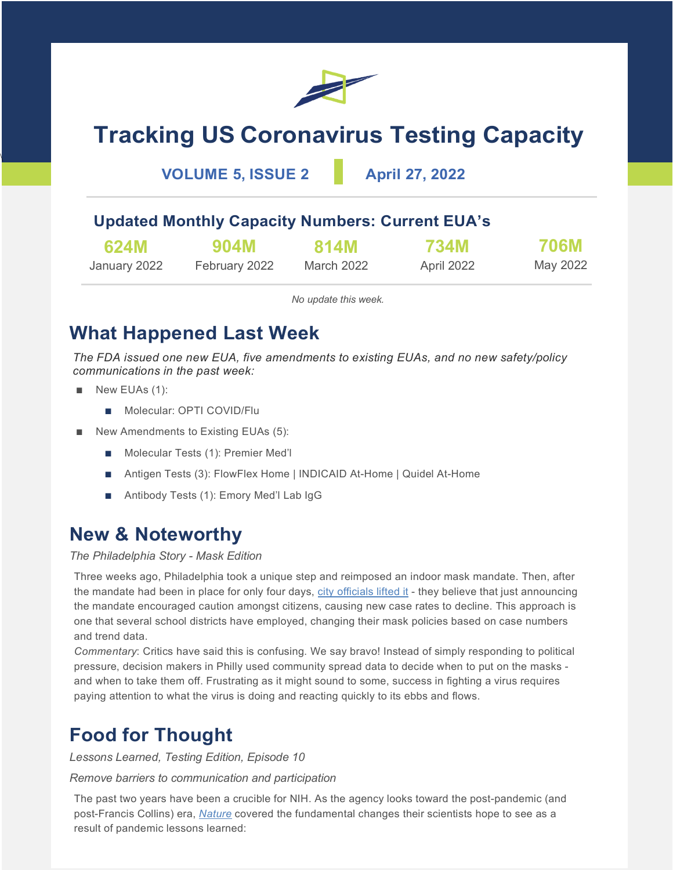

# **Tracking US Coronavirus Testing Capacity**

### **VOLUME 5, ISSUE 2 April 27, 2022**

### **Updated Monthly Capacity Numbers: Current EUA's**

| 624M         | 904M          | <b>814M</b> | <b>734M</b> | <b>706M</b> |
|--------------|---------------|-------------|-------------|-------------|
| January 2022 | February 2022 | March 2022  | April 2022  | May 2022    |

*No update this week.*

### **What Happened Last Week**

*The FDA issued one new EUA, five amendments to existing EUAs, and no new safety/policy communications in the past week:* 

■ New EUAs (1):

\

- Molecular: OPTI COVID/Flu
- New Amendments to Existing EUAs (5):
	- Molecular Tests (1): Premier Med'l
	- Antigen Tests (3): FlowFlex Home | INDICAID At-Home | Quidel At-Home
	- Antibody Tests (1): Emory Med'l Lab IgG

### **New & Noteworthy**

### *The Philadelphia Story - Mask Edition*

Three weeks ago, Philadelphia took a unique step and reimposed an indoor mask mandate. Then, after the mandate had been in place for only four days, [city officials lifted it](https://www.nytimes.com/live/2022/04/22/world/covid-19-mandates-cases-vaccine?name=styln-coronavirus®ion=MAIN_CONTENT_2&block=storyline_latest_updates_recirc&action=click&pgtype=Article&variant=show&index=2#philadelphia-mask-mandate) - they believe that just announcing the mandate encouraged caution amongst citizens, causing new case rates to decline. This approach is one that several school districts have employed, changing their mask policies based on case numbers and trend data.

*Commentary*: Critics have said this is confusing. We say bravo! Instead of simply responding to political pressure, decision makers in Philly used community spread data to decide when to put on the masks and when to take them off. Frustrating as it might sound to some, success in fighting a virus requires paying attention to what the virus is doing and reacting quickly to its ebbs and flows.

## **Food for Thought**

*Lessons Learned, Testing Edition, Episode 10*

*Remove barriers to communication and participation*

The past two years have been a crucible for NIH. As the agency looks toward the post-pandemic (and post-Francis Collins) era, *[Nature](https://www.nature.com/articles/d41586-022-01101-7)* covered the fundamental changes their scientists hope to see as a result of pandemic lessons learned: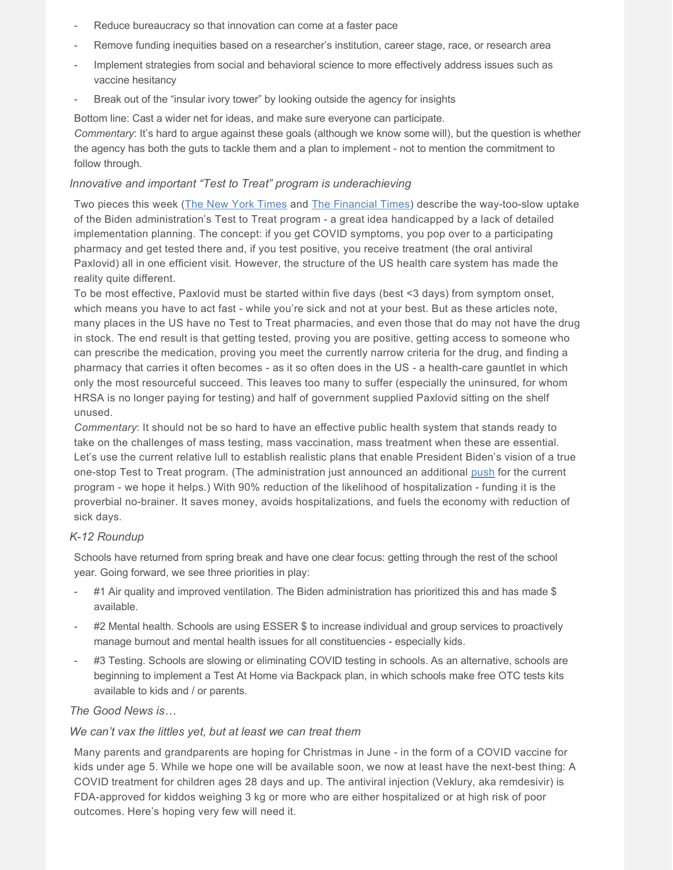- Reduce bureaucracy so that innovation can come at a faster pace
- Remove funding inequities based on a researcher's institution, career stage, race, or research area
- Implement strategies from social and behavioral science to more effectively address issues such as vaccine hesitancy
- Break out of the "insular ivory tower" by looking outside the agency for insights

Bottom line: Cast a wider net for ideas, and make sure everyone can participate.

*Commentary*: It's hard to argue against these goals (although we know some will), but the question is whether the agency has both the guts to tackle them and a plan to implement - not to mention the commitment to follow through.

#### *Innovative and important "Test to Treat" program is underachieving*

Two pieces this week [\(The New York Times](https://www.nytimes.com/2022/04/22/opinion/covid-pandemic-drugs-treatment.html) and [The Financial Times\)](https://www.ft.com/content/07d62479-1026-4979-9a65-3beb59290948) describe the way-too-slow uptake of the Biden administration's Test to Treat program - a great idea handicapped by a lack of detailed implementation planning. The concept: if you get COVID symptoms, you pop over to a participating pharmacy and get tested there and, if you test positive, you receive treatment (the oral antiviral Paxlovid) all in one efficient visit. However, the structure of the US health care system has made the reality quite different.

To be most effective, Paxlovid must be started within five days (best <3 days) from symptom onset, which means you have to act fast - while you're sick and not at your best. But as these articles note, many places in the US have no Test to Treat pharmacies, and even those that do may not have the drug in stock. The end result is that getting tested, proving you are positive, getting access to someone who can prescribe the medication, proving you meet the currently narrow criteria for the drug, and finding a pharmacy that carries it often becomes - as it so often does in the US - a health-care gauntlet in which only the most resourceful succeed. This leaves too many to suffer (especially the uninsured, for whom HRSA is no longer paying for testing) and half of government supplied Paxlovid sitting on the shelf unused.

*Commentary*: It should not be so hard to have an effective public health system that stands ready to take on the challenges of mass testing, mass vaccination, mass treatment when these are essential. Let's use the current relative lull to establish realistic plans that enable President Biden's vision of a true one-stop Test to Treat program. (The administration just announced an additional [push](https://www.statnews.com/2022/04/26/biden-white-house-starts-big-paxlovid-push/) for the current program - we hope it helps.) With 90% reduction of the likelihood of hospitalization - funding it is the proverbial no-brainer. It saves money, avoids hospitalizations, and fuels the economy with reduction of sick days.

#### *K-12 Roundup*

Schools have returned from spring break and have one clear focus: getting through the rest of the school year. Going forward, we see three priorities in play:

- #1 Air quality and improved ventilation. The Biden administration has prioritized this and has made \$ available.
- #2 Mental health. Schools are using ESSER \$ to increase individual and group services to proactively manage burnout and mental health issues for all constituencies - especially kids.
- #3 Testing. Schools are slowing or eliminating COVID testing in schools. As an alternative, schools are beginning to implement a Test At Home via Backpack plan, in which schools make free OTC tests kits available to kids and / or parents.

#### *The Good News is…*

#### *We can't vax the littles yet, but at least we can treat them*

Many parents and grandparents are hoping for Christmas in June - in the form of a COVID vaccine for kids under age 5. While we hope one will be available soon, we now at least have the next-best thing: A COVID treatment for children ages 28 days and up. The antiviral injection (Veklury, aka remdesivir) is FDA-approved for kiddos weighing 3 kg or more who are either hospitalized or at high risk of poor outcomes. Here's hoping very few will need it.